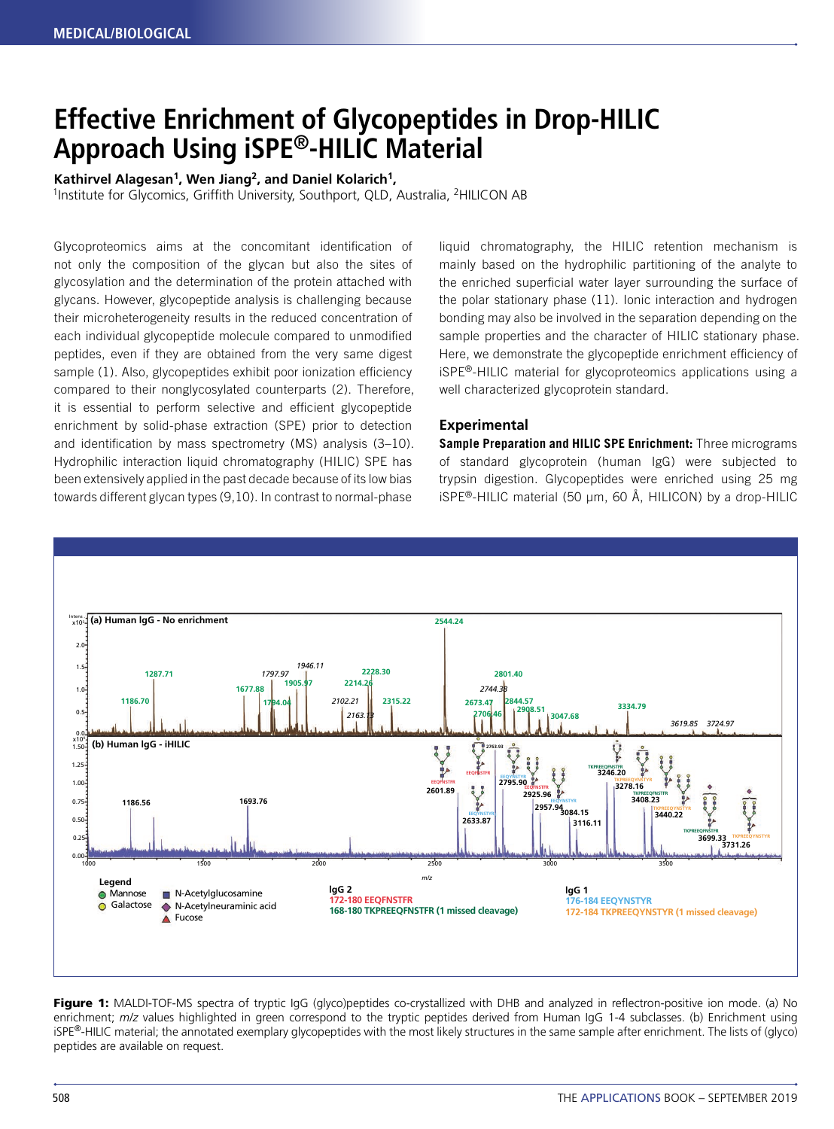# **Effective Enrichment of Glycopeptides in Drop‑HILIC Approach Using iSPE®-HILIC Material**

### **Kathirvel Alagesan1, Wen Jiang2, and Daniel Kolarich1,**

<sup>1</sup>Institute for Glycomics, Griffith University, Southport, QLD, Australia, <sup>2</sup>HILICON AB

Glycoproteomics aims at the concomitant identification of not only the composition of the glycan but also the sites of glycosylation and the determination of the protein attached with glycans. However, glycopeptide analysis is challenging because their microheterogeneity results in the reduced concentration of each individual glycopeptide molecule compared to unmodified peptides, even if they are obtained from the very same digest sample (1). Also, glycopeptides exhibit poor ionization efficiency compared to their nonglycosylated counterparts (2). Therefore, it is essential to perform selective and efficient glycopeptide enrichment by solid-phase extraction (SPE) prior to detection and identification by mass spectrometry (MS) analysis (3–10). Hydrophilic interaction liquid chromatography (HILIC) SPE has been extensively applied in the past decade because of its low bias towards different glycan types (9,10). In contrast to normal-phase

liquid chromatography, the HILIC retention mechanism is mainly based on the hydrophilic partitioning of the analyte to the enriched superficial water layer surrounding the surface of the polar stationary phase (11). Ionic interaction and hydrogen bonding may also be involved in the separation depending on the sample properties and the character of HILIC stationary phase. Here, we demonstrate the glycopeptide enrichment efficiency of iSPE®-HILIC material for glycoproteomics applications using a well characterized glycoprotein standard.

#### **Experimental**

**Sample Preparation and HILIC SPE Enrichment:** Three micrograms of standard glycoprotein (human IgG) were subjected to trypsin digestion. Glycopeptides were enriched using 25 mg iSPE<sup>®</sup>-HILIC material (50  $\mu$ m, 60 Å, HILICON) by a drop-HILIC



Figure 1: MALDI-TOF-MS spectra of tryptic IgG (glyco)peptides co-crystallized with DHB and analyzed in reflectron-positive ion mode. (a) No enrichment; *m/z* values highlighted in green correspond to the tryptic peptides derived from Human IgG 1-4 subclasses. (b) Enrichment using iSPE®-HILIC material; the annotated exemplary glycopeptides with the most likely structures in the same sample after enrichment. The lists of (glyco) peptides are available on request.